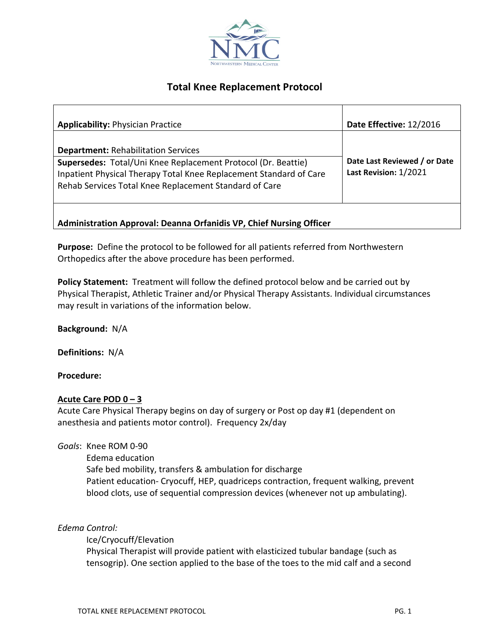

# **Total Knee Replacement Protocol**

| <b>Applicability: Physician Practice</b>                                                                                                                                                                                                    | Date Effective: 12/2016                               |
|---------------------------------------------------------------------------------------------------------------------------------------------------------------------------------------------------------------------------------------------|-------------------------------------------------------|
| <b>Department: Rehabilitation Services</b><br>Supersedes: Total/Uni Knee Replacement Protocol (Dr. Beattie)<br>Inpatient Physical Therapy Total Knee Replacement Standard of Care<br>Rehab Services Total Knee Replacement Standard of Care | Date Last Reviewed / or Date<br>Last Revision: 1/2021 |
| Administration Approval: Deanna Orfanidis VP, Chief Nursing Officer                                                                                                                                                                         |                                                       |

**Purpose:** Define the protocol to be followed for all patients referred from Northwestern Orthopedics after the above procedure has been performed.

**Policy Statement:** Treatment will follow the defined protocol below and be carried out by Physical Therapist, Athletic Trainer and/or Physical Therapy Assistants. Individual circumstances may result in variations of the information below.

**Background:** N/A

**Definitions:** N/A

### **Procedure:**

### **Acute Care POD 0 – 3**

Acute Care Physical Therapy begins on day of surgery or Post op day #1 (dependent on anesthesia and patients motor control). Frequency 2x/day

*Goals*: Knee ROM 0-90

Edema education Safe bed mobility, transfers & ambulation for discharge Patient education- Cryocuff, HEP, quadriceps contraction, frequent walking, prevent blood clots, use of sequential compression devices (whenever not up ambulating).

### *Edema Control:*

Ice/Cryocuff/Elevation Physical Therapist will provide patient with elasticized tubular bandage (such as tensogrip). One section applied to the base of the toes to the mid calf and a second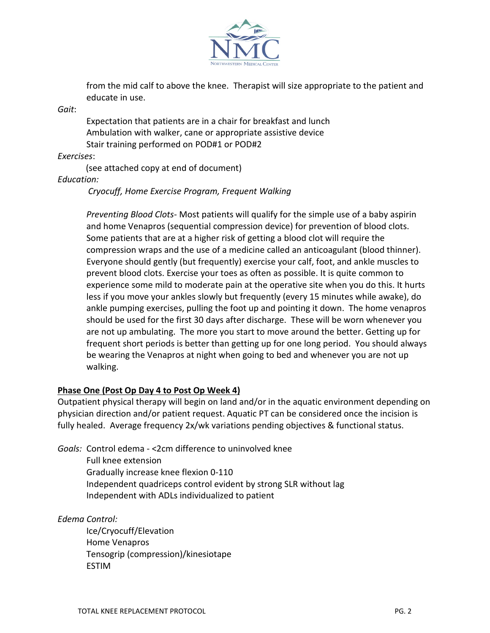

from the mid calf to above the knee. Therapist will size appropriate to the patient and educate in use.

*Gait*:

Expectation that patients are in a chair for breakfast and lunch Ambulation with walker, cane or appropriate assistive device Stair training performed on POD#1 or POD#2

*Exercises*:

(see attached copy at end of document)

*Education:* 

 *Cryocuff, Home Exercise Program, Frequent Walking* 

*Preventing Blood Clots-* Most patients will qualify for the simple use of a baby aspirin and home Venapros (sequential compression device) for prevention of blood clots. Some patients that are at a higher risk of getting a blood clot will require the compression wraps and the use of a medicine called an anticoagulant (blood thinner). Everyone should gently (but frequently) exercise your calf, foot, and ankle muscles to prevent blood clots. Exercise your toes as often as possible. It is quite common to experience some mild to moderate pain at the operative site when you do this. It hurts less if you move your ankles slowly but frequently (every 15 minutes while awake), do ankle pumping exercises, pulling the foot up and pointing it down. The home venapros should be used for the first 30 days after discharge. These will be worn whenever you are not up ambulating. The more you start to move around the better. Getting up for frequent short periods is better than getting up for one long period. You should always be wearing the Venapros at night when going to bed and whenever you are not up walking.

### **Phase One (Post Op Day 4 to Post Op Week 4)**

Outpatient physical therapy will begin on land and/or in the aquatic environment depending on physician direction and/or patient request. Aquatic PT can be considered once the incision is fully healed. Average frequency 2x/wk variations pending objectives & functional status.

*Goals:* Control edema - <2cm difference to uninvolved knee

Full knee extension Gradually increase knee flexion 0-110 Independent quadriceps control evident by strong SLR without lag Independent with ADLs individualized to patient

## *Edema Control:*

Ice/Cryocuff/Elevation Home Venapros Tensogrip (compression)/kinesiotape ESTIM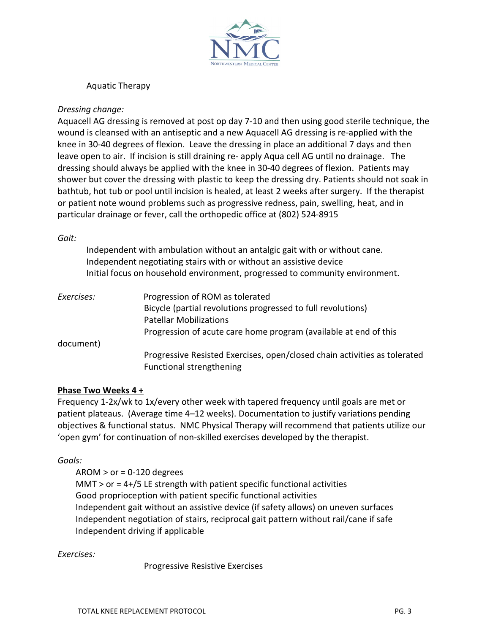

Aquatic Therapy

### *Dressing change:*

Aquacell AG dressing is removed at post op day 7-10 and then using good sterile technique, the wound is cleansed with an antiseptic and a new Aquacell AG dressing is re-applied with the knee in 30-40 degrees of flexion. Leave the dressing in place an additional 7 days and then leave open to air. If incision is still draining re- apply Aqua cell AG until no drainage. The dressing should always be applied with the knee in 30-40 degrees of flexion. Patients may shower but cover the dressing with plastic to keep the dressing dry. Patients should not soak in bathtub, hot tub or pool until incision is healed, at least 2 weeks after surgery. If the therapist or patient note wound problems such as progressive redness, pain, swelling, heat, and in particular drainage or fever, call the orthopedic office at (802) 524-8915

### *Gait:*

|            | Independent with ambulation without an antalgic gait with or without cane.<br>Independent negotiating stairs with or without an assistive device<br>Initial focus on household environment, progressed to community environment. |
|------------|----------------------------------------------------------------------------------------------------------------------------------------------------------------------------------------------------------------------------------|
| Exercises: | Progression of ROM as tolerated                                                                                                                                                                                                  |
|            | Bicycle (partial revolutions progressed to full revolutions)                                                                                                                                                                     |
|            | <b>Patellar Mobilizations</b>                                                                                                                                                                                                    |
|            | Progression of acute care home program (available at end of this                                                                                                                                                                 |
| document)  |                                                                                                                                                                                                                                  |
|            | Progressive Resisted Exercises, open/closed chain activities as tolerated                                                                                                                                                        |
|            | Functional strengthening                                                                                                                                                                                                         |

### **Phase Two Weeks 4 +**

Frequency 1-2x/wk to 1x/every other week with tapered frequency until goals are met or patient plateaus. (Average time 4–12 weeks). Documentation to justify variations pending objectives & functional status. NMC Physical Therapy will recommend that patients utilize our 'open gym' for continuation of non-skilled exercises developed by the therapist.

### *Goals:*

 $AROM > or = 0-120$  degrees MMT > or = 4+/5 LE strength with patient specific functional activities Good proprioception with patient specific functional activities Independent gait without an assistive device (if safety allows) on uneven surfaces Independent negotiation of stairs, reciprocal gait pattern without rail/cane if safe Independent driving if applicable

## *Exercises:*

Progressive Resistive Exercises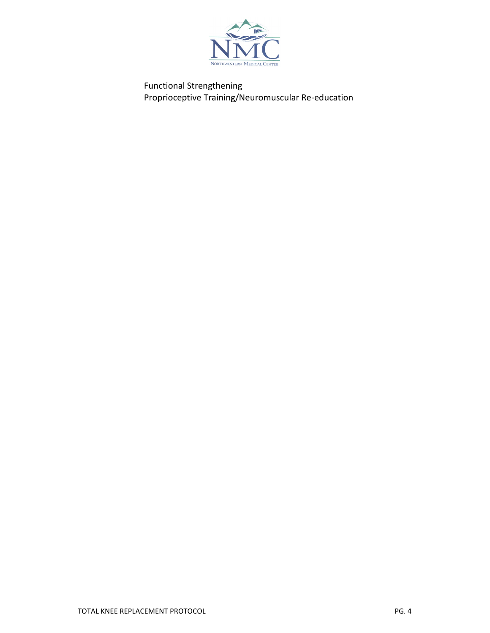

Functional Strengthening Proprioceptive Training/Neuromuscular Re-education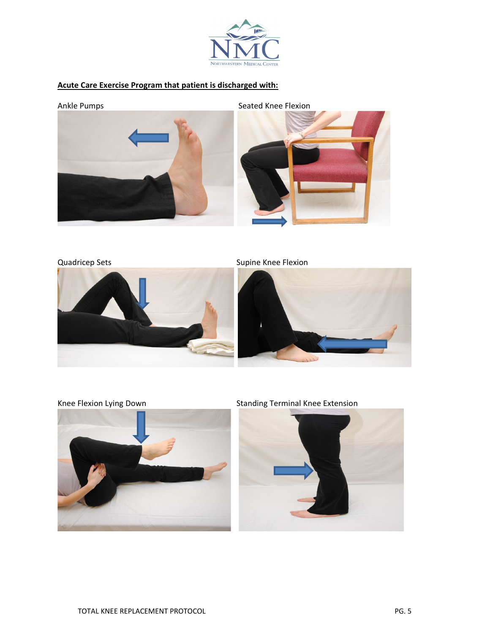

# **Acute Care Exercise Program that patient is discharged with:**



Quadricep Sets Supine Knee Flexion







Knee Flexion Lying Down Standing Terminal Knee Extension